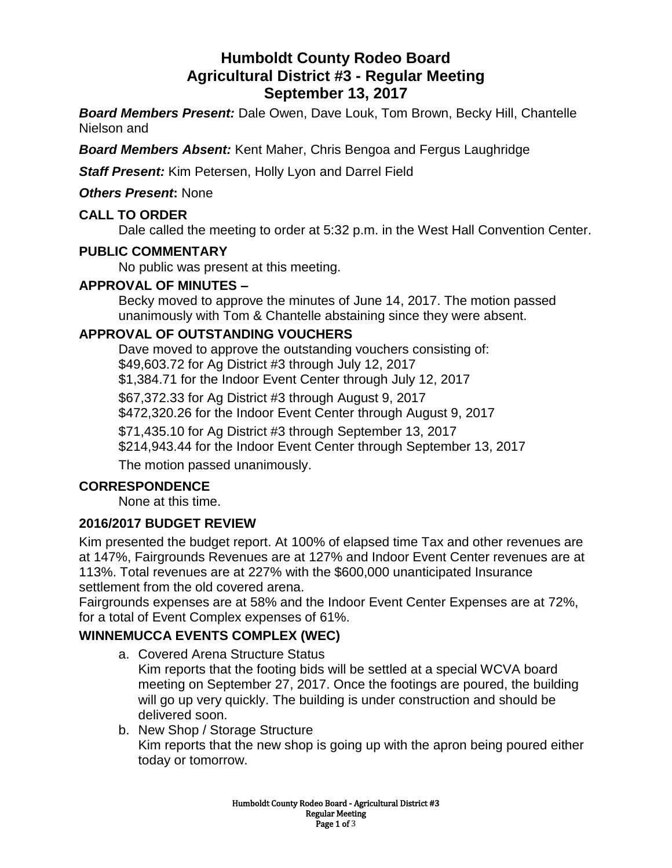# **Humboldt County Rodeo Board Agricultural District #3 - Regular Meeting September 13, 2017**

*Board Members Present:* Dale Owen, Dave Louk, Tom Brown, Becky Hill, Chantelle Nielson and

*Board Members Absent:* Kent Maher, Chris Bengoa and Fergus Laughridge

*Staff Present:* Kim Petersen, Holly Lyon and Darrel Field

*Others Present***:** None

### **CALL TO ORDER**

Dale called the meeting to order at 5:32 p.m. in the West Hall Convention Center.

#### **PUBLIC COMMENTARY**

No public was present at this meeting.

#### **APPROVAL OF MINUTES –**

Becky moved to approve the minutes of June 14, 2017. The motion passed unanimously with Tom & Chantelle abstaining since they were absent.

### **APPROVAL OF OUTSTANDING VOUCHERS**

Dave moved to approve the outstanding vouchers consisting of: \$49,603.72 for Ag District #3 through July 12, 2017 \$1,384.71 for the Indoor Event Center through July 12, 2017

\$67,372.33 for Ag District #3 through August 9, 2017

\$472,320.26 for the Indoor Event Center through August 9, 2017

\$71,435.10 for Ag District #3 through September 13, 2017

\$214,943.44 for the Indoor Event Center through September 13, 2017

The motion passed unanimously.

### **CORRESPONDENCE**

None at this time.

### **2016/2017 BUDGET REVIEW**

Kim presented the budget report. At 100% of elapsed time Tax and other revenues are at 147%, Fairgrounds Revenues are at 127% and Indoor Event Center revenues are at 113%. Total revenues are at 227% with the \$600,000 unanticipated Insurance settlement from the old covered arena.

Fairgrounds expenses are at 58% and the Indoor Event Center Expenses are at 72%, for a total of Event Complex expenses of 61%.

## **WINNEMUCCA EVENTS COMPLEX (WEC)**

a. Covered Arena Structure Status

Kim reports that the footing bids will be settled at a special WCVA board meeting on September 27, 2017. Once the footings are poured, the building will go up very quickly. The building is under construction and should be delivered soon.

b. New Shop / Storage Structure Kim reports that the new shop is going up with the apron being poured either today or tomorrow.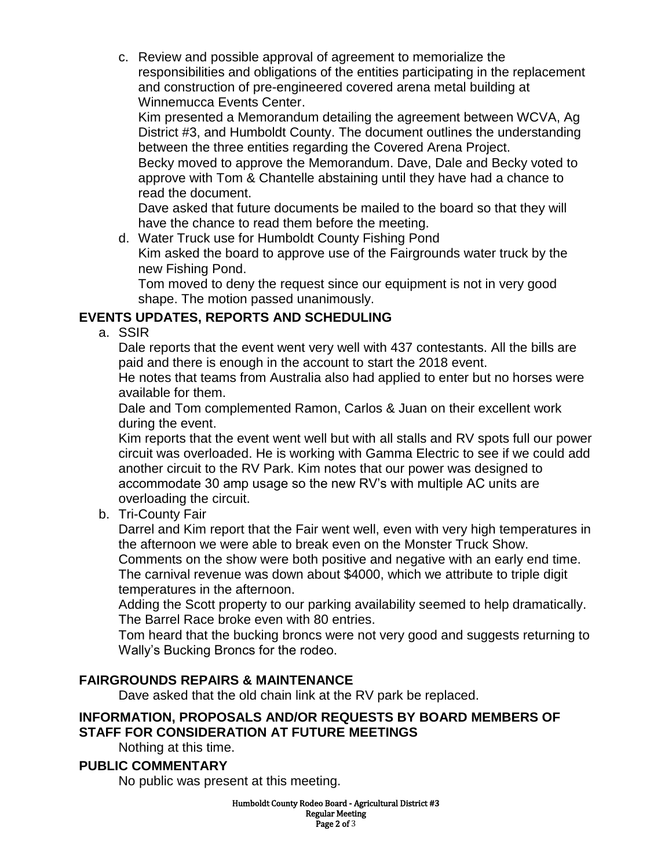c. Review and possible approval of agreement to memorialize the responsibilities and obligations of the entities participating in the replacement and construction of pre-engineered covered arena metal building at Winnemucca Events Center.

Kim presented a Memorandum detailing the agreement between WCVA, Ag District #3, and Humboldt County. The document outlines the understanding between the three entities regarding the Covered Arena Project.

Becky moved to approve the Memorandum. Dave, Dale and Becky voted to approve with Tom & Chantelle abstaining until they have had a chance to read the document.

Dave asked that future documents be mailed to the board so that they will have the chance to read them before the meeting.

d. Water Truck use for Humboldt County Fishing Pond Kim asked the board to approve use of the Fairgrounds water truck by the new Fishing Pond.

Tom moved to deny the request since our equipment is not in very good shape. The motion passed unanimously.

## **EVENTS UPDATES, REPORTS AND SCHEDULING**

a. SSIR

Dale reports that the event went very well with 437 contestants. All the bills are paid and there is enough in the account to start the 2018 event.

He notes that teams from Australia also had applied to enter but no horses were available for them.

Dale and Tom complemented Ramon, Carlos & Juan on their excellent work during the event.

Kim reports that the event went well but with all stalls and RV spots full our power circuit was overloaded. He is working with Gamma Electric to see if we could add another circuit to the RV Park. Kim notes that our power was designed to accommodate 30 amp usage so the new RV's with multiple AC units are overloading the circuit.

b. Tri-County Fair

Darrel and Kim report that the Fair went well, even with very high temperatures in the afternoon we were able to break even on the Monster Truck Show.

Comments on the show were both positive and negative with an early end time. The carnival revenue was down about \$4000, which we attribute to triple digit temperatures in the afternoon.

Adding the Scott property to our parking availability seemed to help dramatically. The Barrel Race broke even with 80 entries.

Tom heard that the bucking broncs were not very good and suggests returning to Wally's Bucking Broncs for the rodeo.

## **FAIRGROUNDS REPAIRS & MAINTENANCE**

Dave asked that the old chain link at the RV park be replaced.

### **INFORMATION, PROPOSALS AND/OR REQUESTS BY BOARD MEMBERS OF STAFF FOR CONSIDERATION AT FUTURE MEETINGS**

Nothing at this time.

### **PUBLIC COMMENTARY**

No public was present at this meeting.